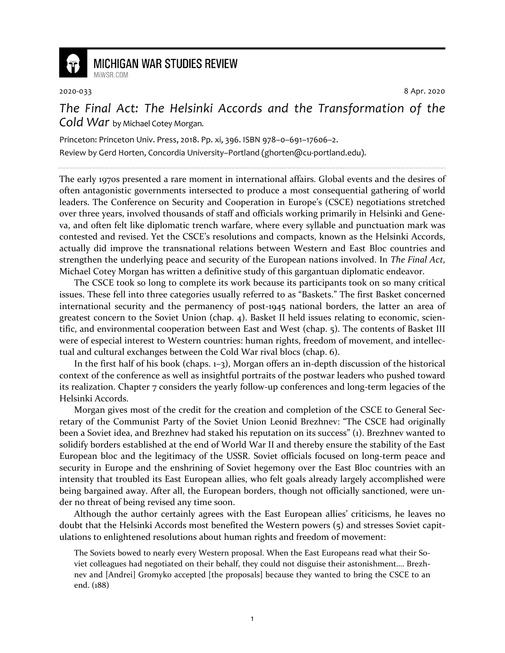

## **MICHIGAN WAR STUDIES REVIEW** MiWSR COM

2020-033 8 Apr. 2020

*The Final Act: The Helsinki Accords and the Transformation of the Cold War* by Michael Cotey Morgan.

Princeton: Princeton Univ. Press, 2018. Pp. xi, 396. ISBN 978–0–691–17606–2. Review by Gerd Horten, Concordia University–Portland (ghorten@cu-portland.edu).

The early 1970s presented a rare moment in international affairs. Global events and the desires of often antagonistic governments intersected to produce a most consequential gathering of world leaders. The Conference on Security and Cooperation in Europe's (CSCE) negotiations stretched over three years, involved thousands of staff and officials working primarily in Helsinki and Geneva, and often felt like diplomatic trench warfare, where every syllable and punctuation mark was contested and revised. Yet the CSCE's resolutions and compacts, known as the Helsinki Accords, actually did improve the transnational relations between Western and East Bloc countries and strengthen the underlying peace and security of the European nations involved. In *The Final Act*, Michael Cotey Morgan has written a definitive study of this gargantuan diplomatic endeavor.

The CSCE took so long to complete its work because its participants took on so many critical issues. These fell into three categories usually referred to as "Baskets." The first Basket concerned international security and the permanency of post-1945 national borders, the latter an area of greatest concern to the Soviet Union (chap. 4). Basket II held issues relating to economic, scientific, and environmental cooperation between East and West (chap. 5). The contents of Basket III were of especial interest to Western countries: human rights, freedom of movement, and intellectual and cultural exchanges between the Cold War rival blocs (chap. 6).

In the first half of his book (chaps. 1–3), Morgan offers an in-depth discussion of the historical context of the conference as well as insightful portraits of the postwar leaders who pushed toward its realization. Chapter 7 considers the yearly follow-up conferences and long-term legacies of the Helsinki Accords.

Morgan gives most of the credit for the creation and completion of the CSCE to General Secretary of the Communist Party of the Soviet Union Leonid Brezhnev: "The CSCE had originally been a Soviet idea, and Brezhnev had staked his reputation on its success" (1). Brezhnev wanted to solidify borders established at the end of World War II and thereby ensure the stability of the East European bloc and the legitimacy of the USSR. Soviet officials focused on long-term peace and security in Europe and the enshrining of Soviet hegemony over the East Bloc countries with an intensity that troubled its East European allies, who felt goals already largely accomplished were being bargained away. After all, the European borders, though not officially sanctioned, were under no threat of being revised any time soon.

Although the author certainly agrees with the East European allies' criticisms, he leaves no doubt that the Helsinki Accords most benefited the Western powers (5) and stresses Soviet capitulations to enlightened resolutions about human rights and freedom of movement:

The Soviets bowed to nearly every Western proposal. When the East Europeans read what their Soviet colleagues had negotiated on their behalf, they could not disguise their astonishment…. Brezhnev and [Andrei] Gromyko accepted [the proposals] because they wanted to bring the CSCE to an end. (188)